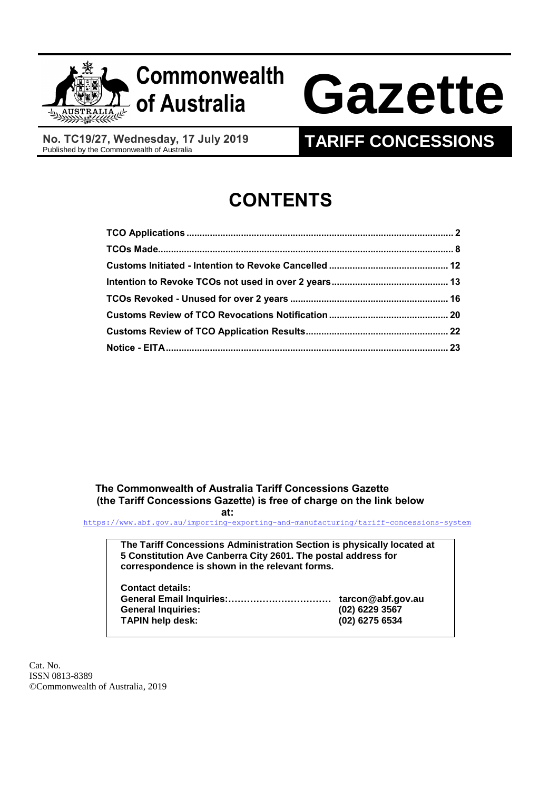

## **Commonwealth**

# **of Australia Gazette**

**No. TC19/27, Wednesday, 17 July 2019**

### **TARIFF CONCESSIONS**

## **CONTENTS**

 **The Commonwealth of Australia Tariff Concessions Gazette (the Tariff Concessions Gazette) is free of charge on the link below** 

#### **at:**

<https://www.abf.gov.au/importing-exporting-and-manufacturing/tariff-concessions-system>

**The Tariff Concessions Administration Section is physically located at 5 Constitution Ave Canberra City 2601. The postal address for correspondence is shown in the relevant forms.**

| <b>Contact details:</b>   |                   |
|---------------------------|-------------------|
|                           | tarcon@abf.gov.au |
| <b>General Inquiries:</b> | (02) 6229 3567    |
| <b>TAPIN help desk:</b>   | (02) 6275 6534    |
|                           |                   |

Cat. No. ISSN 0813-8389 ©Commonwealth of Australia, 2019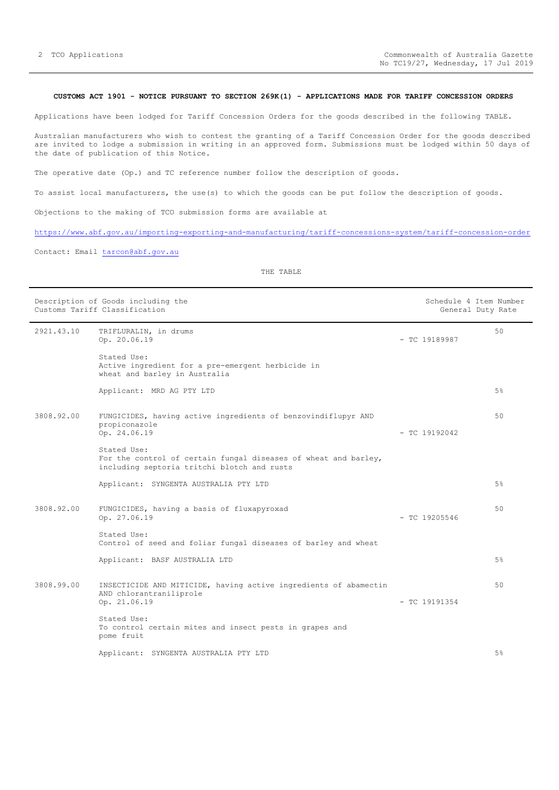#### <span id="page-1-0"></span>**CUSTOMS ACT 1901 - NOTICE PURSUANT TO SECTION 269K(1) - APPLICATIONS MADE FOR TARIFF CONCESSION ORDERS**

Applications have been lodged for Tariff Concession Orders for the goods described in the following TABLE.

Australian manufacturers who wish to contest the granting of a Tariff Concession Order for the goods described are invited to lodge a submission in writing in an approved form. Submissions must be lodged within 50 days of the date of publication of this Notice.

The operative date (Op.) and TC reference number follow the description of goods.

To assist local manufacturers, the use(s) to which the goods can be put follow the description of goods.

Objections to the making of TCO submission forms are available at

<https://www.abf.gov.au/importing-exporting-and-manufacturing/tariff-concessions-system/tariff-concession-order>

Contact: Email [tarcon@abf.gov.au](mailto:tarcon@abf.gov.au)

| Description of Goods including the<br>Customs Tariff Classification |                                                                                                                               | Schedule 4 Item Number<br>General Duty Rate |                 |       |
|---------------------------------------------------------------------|-------------------------------------------------------------------------------------------------------------------------------|---------------------------------------------|-----------------|-------|
| 2921.43.10                                                          | TRIFLURALIN, in drums<br>Op. 20.06.19                                                                                         |                                             | $-$ TC 19189987 | 50    |
|                                                                     | Stated Use:<br>Active ingredient for a pre-emergent herbicide in<br>wheat and barley in Australia                             |                                             |                 |       |
|                                                                     | Applicant: MRD AG PTY LTD                                                                                                     |                                             |                 | $5\%$ |
| 3808.92.00                                                          | FUNGICIDES, having active ingredients of benzovindiflupyr AND<br>propiconazole<br>Op. 24.06.19                                |                                             | $-$ TC 19192042 | 50    |
|                                                                     | Stated Use:<br>For the control of certain fungal diseases of wheat and barley,<br>including septoria tritchi blotch and rusts |                                             |                 |       |
|                                                                     | Applicant: SYNGENTA AUSTRALIA PTY LTD                                                                                         |                                             |                 | $5\%$ |
| 3808.92.00                                                          | FUNGICIDES, having a basis of fluxapyroxad<br>Op. 27.06.19                                                                    |                                             | $-$ TC 19205546 | 50    |
|                                                                     | Stated Use:<br>Control of seed and foliar fungal diseases of barley and wheat                                                 |                                             |                 |       |
|                                                                     | Applicant: BASF AUSTRALIA LTD                                                                                                 |                                             |                 | $5\%$ |
| 3808.99.00                                                          | INSECTICIDE AND MITICIDE, having active ingredients of abamectin<br>AND chlorantraniliprole<br>Op. 21.06.19                   |                                             | $-$ TC 19191354 | 50    |
|                                                                     | Stated Use:<br>To control certain mites and insect pests in grapes and<br>pome fruit                                          |                                             |                 |       |
|                                                                     | Applicant: SYNGENTA AUSTRALIA PTY LTD                                                                                         |                                             |                 | 5%    |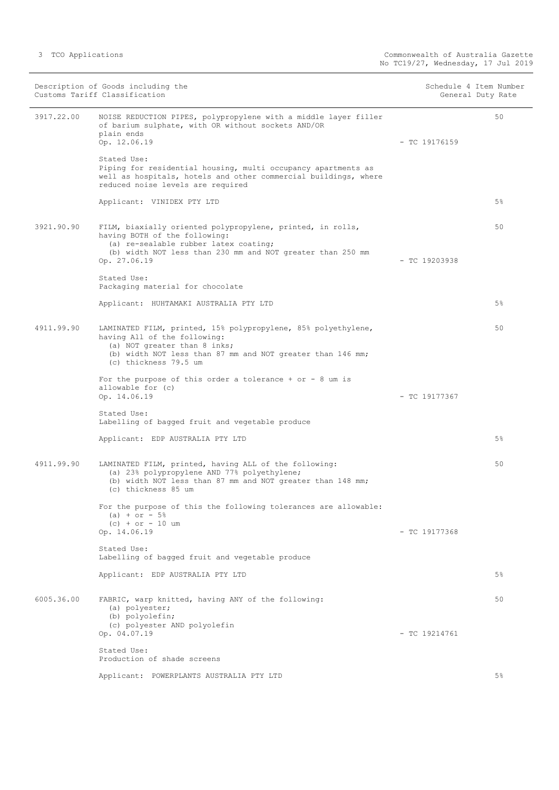|            | Description of Goods including the<br>Customs Tariff Classification                                                                                                                                                  | Schedule 4 Item Number<br>General Duty Rate |
|------------|----------------------------------------------------------------------------------------------------------------------------------------------------------------------------------------------------------------------|---------------------------------------------|
| 3917.22.00 | NOISE REDUCTION PIPES, polypropylene with a middle layer filler<br>of barium sulphate, with OR without sockets AND/OR<br>plain ends<br>Op. 12.06.19                                                                  | 50<br>$-$ TC 19176159                       |
|            | Stated Use:<br>Piping for residential housing, multi occupancy apartments as<br>well as hospitals, hotels and other commercial buildings, where<br>reduced noise levels are required                                 |                                             |
|            | Applicant: VINIDEX PTY LTD                                                                                                                                                                                           | $5\%$                                       |
| 3921.90.90 | FILM, biaxially oriented polypropylene, printed, in rolls,<br>having BOTH of the following:<br>(a) re-sealable rubber latex coating;<br>(b) width NOT less than 230 mm and NOT greater than 250 mm<br>Op. 27.06.19   | 50<br>$-$ TC 19203938                       |
|            | Stated Use:<br>Packaging material for chocolate                                                                                                                                                                      |                                             |
|            | Applicant: HUHTAMAKI AUSTRALIA PTY LTD                                                                                                                                                                               | $5\%$                                       |
| 4911.99.90 | LAMINATED FILM, printed, 15% polypropylene, 85% polyethylene,<br>having All of the following:<br>(a) NOT greater than 8 inks;<br>(b) width NOT less than 87 mm and NOT greater than 146 mm;<br>(c) thickness 79.5 um | 50                                          |
|            | For the purpose of this order a tolerance + or - 8 um is<br>allowable for (c)<br>Op. 14.06.19                                                                                                                        | $-$ TC 19177367                             |
|            | Stated Use:<br>Labelling of bagged fruit and vegetable produce                                                                                                                                                       |                                             |
|            | Applicant: EDP AUSTRALIA PTY LTD                                                                                                                                                                                     | $5\%$                                       |
| 4911.99.90 | LAMINATED FILM, printed, having ALL of the following:<br>(a) 23% polypropylene AND 77% polyethylene;<br>(b) width NOT less than 87 mm and NOT greater than 148 mm;<br>(c) thickness 85 um                            | 50                                          |
|            | For the purpose of this the following tolerances are allowable:<br>(a) + or - $5\frac{6}{3}$<br>$(c) + or - 10$ um<br>Op. 14.06.19                                                                                   | $-$ TC 19177368                             |
|            | Stated Use:<br>Labelling of bagged fruit and vegetable produce                                                                                                                                                       |                                             |
|            | Applicant: EDP AUSTRALIA PTY LTD                                                                                                                                                                                     | $5\%$                                       |
| 6005.36.00 | FABRIC, warp knitted, having ANY of the following:<br>(a) polyester;<br>(b) polyolefin;<br>(c) polyester AND polyolefin<br>Op. 04.07.19                                                                              | 50<br>$-$ TC 19214761                       |
|            | Stated Use:<br>Production of shade screens                                                                                                                                                                           |                                             |
|            | Applicant: POWERPLANTS AUSTRALIA PTY LTD                                                                                                                                                                             | 5%                                          |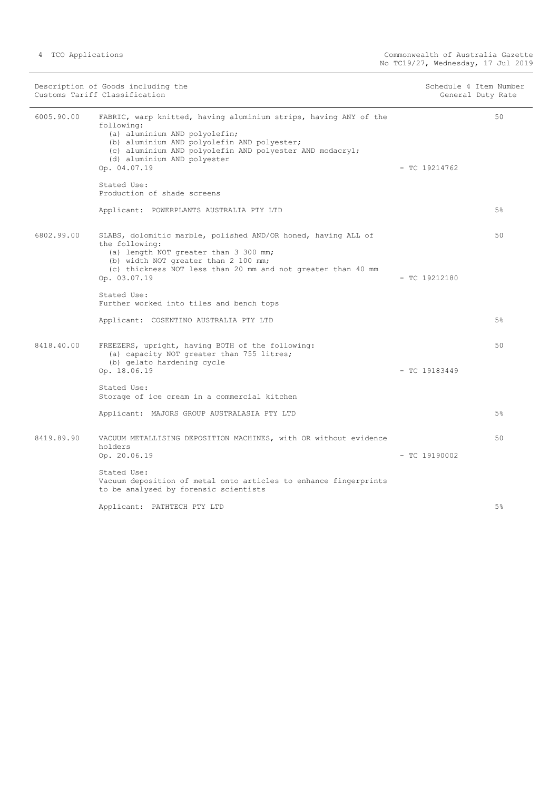Description of Goods including the Schedule 4 Item Number<br>
Customs Tariff Classification<br>
Schedule 4 Item Number Customs Tariff Classification 6005.90.00 FABRIC, warp knitted, having aluminium strips, having ANY of the following: (a) aluminium AND polyolefin; (b) aluminium AND polyolefin AND polyester; (c) aluminium AND polyolefin AND polyester AND modacryl; (d) aluminium AND polyester Op. 04.07.19 - TC 19214762 Stated Use: Production of shade screens Applicant: POWERPLANTS AUSTRALIA PTY LTD 50 5% 6802.99.00 SLABS, dolomitic marble, polished AND/OR honed, having ALL of the following: (a) length NOT greater than 3 300 mm; (b) width NOT greater than 2 100 mm; (c) thickness NOT less than 20 mm and not greater than 40 mm Op. 03.07.19 - TC 19212180 Stated Use: Further worked into tiles and bench tops Applicant: COSENTINO AUSTRALIA PTY LTD 50 5% 8418.40.00 FREEZERS, upright, having BOTH of the following: (a) capacity NOT greater than 755 litres; (b) gelato hardening cycle Op. 18.06.19 - TC 19183449 Stated Use: Storage of ice cream in a commercial kitchen Applicant: MAJORS GROUP AUSTRALASIA PTY LTD 50 5% 8419.89.90 VACUUM METALLISING DEPOSITION MACHINES, with OR without evidence holders<br>Op. 20.06.19  $-$  TC 19190002 Stated Use: Vacuum deposition of metal onto articles to enhance fingerprints to be analysed by forensic scientists Applicant: PATHTECH PTY LTD 50 5%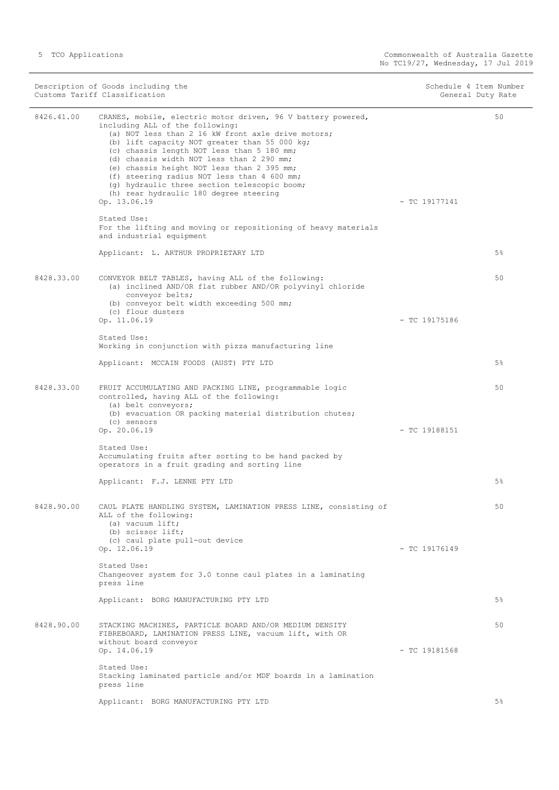Description of Goods including the Schedule 4 Item Number<br>
Customs Tariff Classification<br>
Schedule 4 Item Number Customs Tariff Classification 8426.41.00 CRANES, mobile, electric motor driven, 96 V battery powered, including ALL of the following: (a) NOT less than 2 16 kW front axle drive motors; (b) lift capacity NOT greater than 55 000 kg; (c) chassis length NOT less than 5 180 mm; (d) chassis width NOT less than 2 290 mm; (e) chassis height NOT less than 2 395 mm; (f) steering radius NOT less than 4 600 mm; (g) hydraulic three section telescopic boom; (h) rear hydraulic 180 degree steering Op. 13.06.19 - TC 19177141 Stated Use: For the lifting and moving or repositioning of heavy materials and industrial equipment Applicant: L. ARTHUR PROPRIETARY LTD 50 5% 8428.33.00 CONVEYOR BELT TABLES, having ALL of the following: (a) inclined AND/OR flat rubber AND/OR polyvinyl chloride conveyor belts; (b) conveyor belt width exceeding 500 mm; (c) flour dusters Op. 11.06.19 - TC 19175186 Stated Use: Working in conjunction with pizza manufacturing line Applicant: MCCAIN FOODS (AUST) PTY LTD  $50$ 5% 8428.33.00 FRUIT ACCUMULATING AND PACKING LINE, programmable logic controlled, having ALL of the following: (a) belt conveyors; (b) evacuation OR packing material distribution chutes; (c) sensors  $Op. 20.06.19$  - TC 19188151 Stated Use: Accumulating fruits after sorting to be hand packed by operators in a fruit grading and sorting line Applicant: F.J. LENNE PTY LTD 50 5% 8428.90.00 CAUL PLATE HANDLING SYSTEM, LAMINATION PRESS LINE, consisting of ALL of the following: (a) vacuum lift; (b) scissor lift; (c) caul plate pull-out device Op. 12.06.19 - TC 19176149 Stated Use: Changeover system for 3.0 tonne caul plates in a laminating press line Applicant: BORG MANUFACTURING PTY LTD 50 5% 8428.90.00 STACKING MACHINES, PARTICLE BOARD AND/OR MEDIUM DENSITY FIBREBOARD, LAMINATION PRESS LINE, vacuum lift, with OR without board conveyor Op. 14.06.19 - TC 19181568 Stated Use: Stacking laminated particle and/or MDF boards in a lamination press line Applicant: BORG MANUFACTURING PTY LTD 50 5%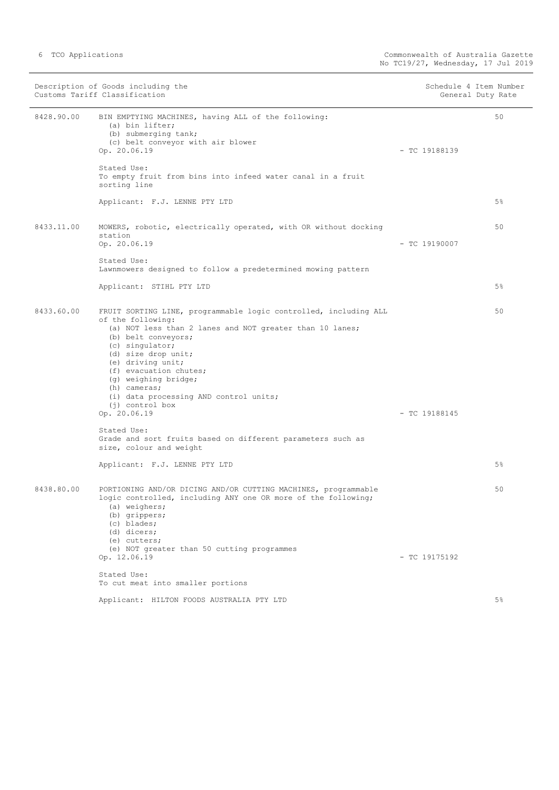|            | Description of Goods including the<br>Customs Tariff Classification                                                                                                                                                                                                                                                                                                                      |                 | Schedule 4 Item Number<br>General Duty Rate |
|------------|------------------------------------------------------------------------------------------------------------------------------------------------------------------------------------------------------------------------------------------------------------------------------------------------------------------------------------------------------------------------------------------|-----------------|---------------------------------------------|
| 8428.90.00 | BIN EMPTYING MACHINES, having ALL of the following:<br>(a) bin lifter;<br>(b) submerging tank;<br>(c) belt conveyor with air blower<br>Op. 20.06.19                                                                                                                                                                                                                                      | $-$ TC 19188139 | 50                                          |
|            | Stated Use:<br>To empty fruit from bins into infeed water canal in a fruit<br>sorting line                                                                                                                                                                                                                                                                                               |                 |                                             |
|            | Applicant: F.J. LENNE PTY LTD                                                                                                                                                                                                                                                                                                                                                            |                 | $5\%$                                       |
| 8433.11.00 | MOWERS, robotic, electrically operated, with OR without docking<br>station<br>Op. 20.06.19                                                                                                                                                                                                                                                                                               | $-$ TC 19190007 | 50                                          |
|            | Stated Use:<br>Lawnmowers designed to follow a predetermined mowing pattern                                                                                                                                                                                                                                                                                                              |                 |                                             |
|            | Applicant: STIHL PTY LTD                                                                                                                                                                                                                                                                                                                                                                 |                 | 5%                                          |
| 8433.60.00 | FRUIT SORTING LINE, programmable logic controlled, including ALL<br>of the following:<br>(a) NOT less than 2 lanes and NOT greater than 10 lanes;<br>(b) belt conveyors;<br>(c) singulator;<br>(d) size drop unit;<br>(e) driving unit;<br>(f) evacuation chutes;<br>(g) weighing bridge;<br>(h) cameras;<br>(i) data processing AND control units;<br>$(i)$ control box<br>Op. 20.06.19 | $-$ TC 19188145 | 50                                          |
|            | Stated Use:<br>Grade and sort fruits based on different parameters such as<br>size, colour and weight                                                                                                                                                                                                                                                                                    |                 |                                             |
|            | Applicant: F.J. LENNE PTY LTD                                                                                                                                                                                                                                                                                                                                                            |                 | $5\%$                                       |
| 8438.80.00 | PORTIONING AND/OR DICING AND/OR CUTTING MACHINES, programmable<br>logic controlled, including ANY one OR more of the following;<br>(a) weighers;<br>(b) grippers;<br>(c) blades;<br>(d) dicers;<br>(e) cutters;<br>(e) NOT greater than 50 cutting programmes<br>Op. 12.06.19                                                                                                            | $-$ TC 19175192 | 50                                          |
|            | Stated Use:<br>To cut meat into smaller portions                                                                                                                                                                                                                                                                                                                                         |                 |                                             |
|            | Applicant: HILTON FOODS AUSTRALIA PTY LTD                                                                                                                                                                                                                                                                                                                                                |                 | $5\%$                                       |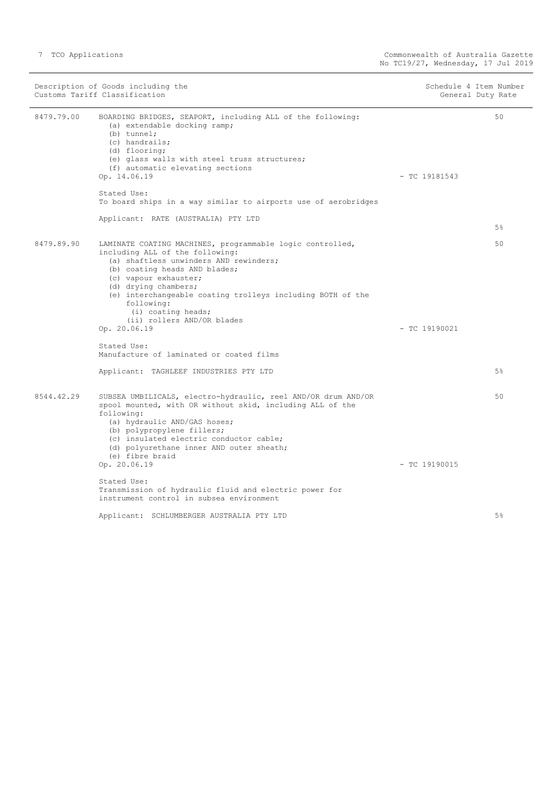|            | Description of Goods including the<br>Customs Tariff Classification                                                                                                                                                                                                                                                        | Schedule 4 Item Number<br>General Duty Rate |    |
|------------|----------------------------------------------------------------------------------------------------------------------------------------------------------------------------------------------------------------------------------------------------------------------------------------------------------------------------|---------------------------------------------|----|
| 8479.79.00 | BOARDING BRIDGES, SEAPORT, including ALL of the following:<br>(a) extendable docking ramp;<br>$(b)$ tunnel;<br>(c) handrails;<br>(d) flooring;<br>(e) glass walls with steel truss structures;<br>(f) automatic elevating sections<br>Op. 14.06.19<br>Stated Use:                                                          | $-$ TC 19181543                             | 50 |
|            | To board ships in a way similar to airports use of aerobridges                                                                                                                                                                                                                                                             |                                             |    |
|            | Applicant: RATE (AUSTRALIA) PTY LTD                                                                                                                                                                                                                                                                                        |                                             | 5% |
| 8479.89.90 | LAMINATE COATING MACHINES, programmable logic controlled,<br>including ALL of the following:<br>(a) shaftless unwinders AND rewinders;<br>(b) coating heads AND blades;<br>(c) vapour exhauster;<br>(d) drying chambers;<br>(e) interchangeable coating trolleys including BOTH of the<br>following:<br>(i) coating heads; |                                             | 50 |
|            | (ii) rollers AND/OR blades<br>Op. 20.06.19                                                                                                                                                                                                                                                                                 | $-$ TC 19190021                             |    |
|            | Stated Use:<br>Manufacture of laminated or coated films                                                                                                                                                                                                                                                                    |                                             |    |
|            | Applicant: TAGHLEEF INDUSTRIES PTY LTD                                                                                                                                                                                                                                                                                     |                                             | 5% |
| 8544.42.29 | SUBSEA UMBILICALS, electro-hydraulic, reel AND/OR drum AND/OR<br>spool mounted, with OR without skid, including ALL of the<br>following:<br>(a) hydraulic AND/GAS hoses;<br>(b) polypropylene fillers;<br>(c) insulated electric conductor cable;<br>(d) polyurethane inner AND outer sheath;<br>(e) fibre braid           |                                             | 50 |
|            | Op. 20.06.19                                                                                                                                                                                                                                                                                                               | $-$ TC 19190015                             |    |
|            | Stated Use:<br>Transmission of hydraulic fluid and electric power for<br>instrument control in subsea environment                                                                                                                                                                                                          |                                             |    |
|            | Applicant: SCHLUMBERGER AUSTRALIA PTY LTD                                                                                                                                                                                                                                                                                  |                                             | 5% |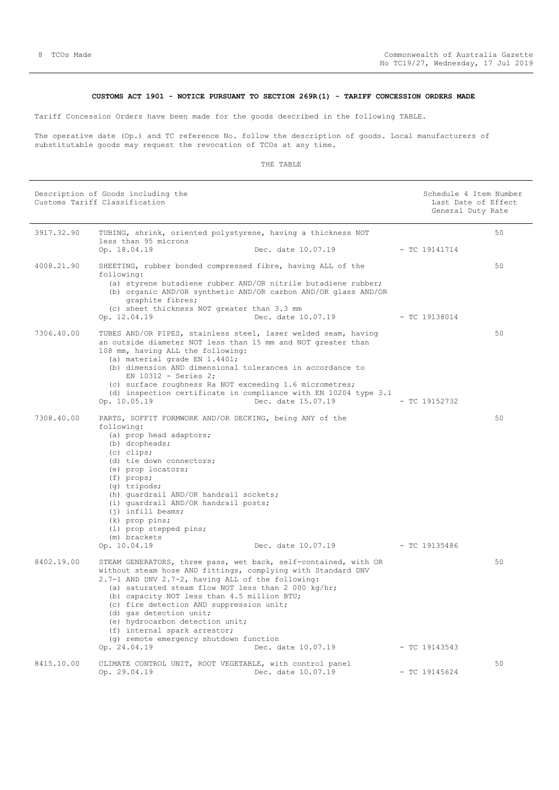#### **CUSTOMS ACT 1901 - NOTICE PURSUANT TO SECTION 269R(1) - TARIFF CONCESSION ORDERS MADE**

<span id="page-7-0"></span>Tariff Concession Orders have been made for the goods described in the following TABLE.

The operative date (Op.) and TC reference No. follow the description of goods. Local manufacturers of substitutable goods may request the revocation of TCOs at any time.

|            | Description of Goods including the<br>Customs Tariff Classification                                                                                                                                                                                                                                                                                                                                                                                                                            |                    | Schedule 4 Item Number<br>Last Date of Effect<br>General Duty Rate |    |
|------------|------------------------------------------------------------------------------------------------------------------------------------------------------------------------------------------------------------------------------------------------------------------------------------------------------------------------------------------------------------------------------------------------------------------------------------------------------------------------------------------------|--------------------|--------------------------------------------------------------------|----|
| 3917.32.90 | TUBING, shrink, oriented polystyrene, having a thickness NOT<br>less than 95 microns<br>Op. 18.04.19                                                                                                                                                                                                                                                                                                                                                                                           | Dec. date 10.07.19 | $-$ TC 19141714                                                    | 50 |
| 4008.21.90 | SHEETING, rubber bonded compressed fibre, having ALL of the<br>following:<br>(a) styrene butadiene rubber AND/OR nitrile butadiene rubber;<br>(b) organic AND/OR synthetic AND/OR carbon AND/OR glass AND/OR<br>graphite fibres;<br>(c) sheet thickness NOT greater than 3.3 mm<br>Op. 12.04.19                                                                                                                                                                                                | Dec. date 10.07.19 | $-$ TC 19138014                                                    | 50 |
| 7306.40.00 | TUBES AND/OR PIPES, stainless steel, laser welded seam, having<br>an outside diameter NOT less than 15 mm and NOT greater than<br>108 mm, having ALL the following:<br>(a) material grade EN 1.4401;<br>(b) dimension AND dimensional tolerances in accordance to<br>EN 10312 - Series 2;<br>(c) surface roughness Ra NOT exceeding 1.6 micrometres;<br>(d) inspection certificate in compliance with EN 10204 type 3.1<br>Op. 10.05.19                                                        | Dec. date 15.07.19 | $-$ TC 19152732                                                    | 50 |
| 7308.40.00 | PARTS, SOFFIT FORMWORK AND/OR DECKING, being ANY of the<br>following:<br>(a) prop head adaptors;<br>(b) dropheads;<br>(c) clips;<br>(d) tie down connectors;<br>(e) prop locators;<br>$(f)$ props;<br>(g) tripods;<br>(h) quardrail AND/OR handrail sockets;<br>(i) quardrail AND/OR handrail posts;<br>$(i)$ infill beams;<br>$(k)$ prop pins;<br>(1) prop stepped pins;<br>(m) brackets<br>Op. 10.04.19                                                                                      | Dec. date 10.07.19 | - TC 19135486                                                      | 50 |
| 8402.19.00 | STEAM GENERATORS, three pass, wet back, self-contained, with OR<br>without steam hose AND fittings, complying with Standard DNV<br>2.7-1 AND DNV 2.7-2, having ALL of the following:<br>(a) saturated steam flow NOT less than 2 000 kg/hr;<br>(b) capacity NOT less than 4.5 million BTU;<br>(c) fire detection AND suppression unit;<br>(d) gas detection unit;<br>(e) hydrocarbon detection unit;<br>(f) internal spark arrestor;<br>(g) remote emergency shutdown function<br>Op. 24.04.19 | Dec. date 10.07.19 | $-$ TC 19143543                                                    | 50 |
| 8415.10.00 | CLIMATE CONTROL UNIT, ROOT VEGETABLE, with control panel<br>Op. 29.04.19                                                                                                                                                                                                                                                                                                                                                                                                                       | Dec. date 10.07.19 | $-$ TC 19145624                                                    | 50 |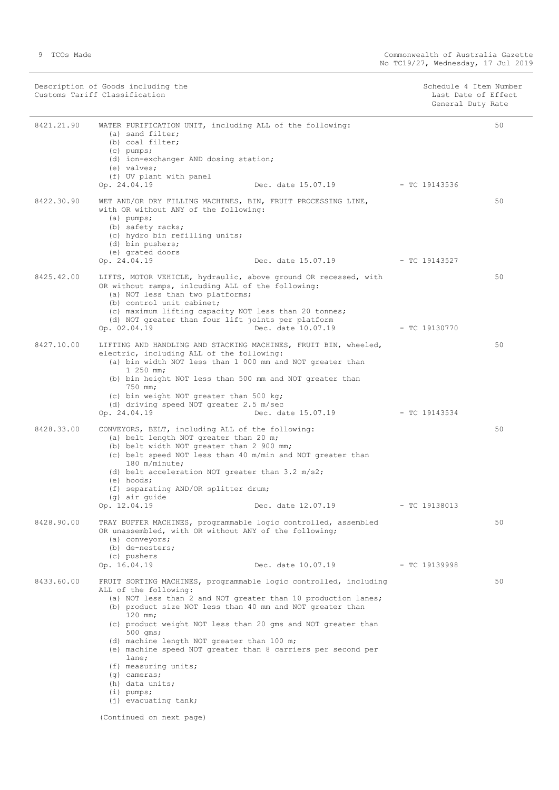| Description of Goods including the | Schedule 4 Item Number |
|------------------------------------|------------------------|
| Customs Tariff Classification      | Last Date of Effect    |
|                                    | General Duty Rate      |
|                                    |                        |

| 8421.21.90 | WATER PURIFICATION UNIT, including ALL of the following:<br>(a) sand filter;<br>(b) coal filter;<br>$(c)$ pumps;<br>(d) ion-exchanger AND dosing station;<br>(e) valves;<br>(f) UV plant with panel<br>Op. 24.04.19                                                                                                                                                                                                                                                                                                                                                        | Dec. date 15.07.19                                     | - TC 19143536   | 50 |
|------------|----------------------------------------------------------------------------------------------------------------------------------------------------------------------------------------------------------------------------------------------------------------------------------------------------------------------------------------------------------------------------------------------------------------------------------------------------------------------------------------------------------------------------------------------------------------------------|--------------------------------------------------------|-----------------|----|
| 8422.30.90 | WET AND/OR DRY FILLING MACHINES, BIN, FRUIT PROCESSING LINE,<br>with OR without ANY of the following:<br>$(a)$ pumps;<br>(b) safety racks;<br>(c) hydro bin refilling units;<br>(d) bin pushers;<br>(e) grated doors                                                                                                                                                                                                                                                                                                                                                       |                                                        |                 | 50 |
| 8425.42.00 | Op. 24.04.19<br>LIFTS, MOTOR VEHICLE, hydraulic, above ground OR recessed, with<br>OR without ramps, inlcuding ALL of the following:<br>(a) NOT less than two platforms;<br>(b) control unit cabinet;<br>(c) maximum lifting capacity NOT less than 20 tonnes;<br>(d) NOT greater than four lift joints per platform<br>Op. 02.04.19                                                                                                                                                                                                                                       | Dec. date 15.07.19 - TC 19143527<br>Dec. date 10.07.19 | $-$ TC 19130770 | 50 |
| 8427.10.00 | LIFTING AND HANDLING AND STACKING MACHINES, FRUIT BIN, wheeled,<br>electric, including ALL of the following:<br>(a) bin width NOT less than 1 000 mm and NOT greater than<br>$1250$ mm;<br>(b) bin height NOT less than 500 mm and NOT greater than<br>750 mm;<br>(c) bin weight NOT greater than 500 kg;<br>(d) driving speed NOT greater 2.5 m/sec<br>Op. 24.04.19                                                                                                                                                                                                       | Dec. date 15.07.19 - TC 19143534                       |                 | 50 |
| 8428.33.00 | CONVEYORS, BELT, including ALL of the following:<br>(a) belt length NOT greater than 20 m;<br>(b) belt width NOT greater than 2 900 mm;<br>(c) belt speed NOT less than 40 m/min and NOT greater than<br>180 m/minute;<br>(d) belt acceleration NOT greater than $3.2 \text{ m/s2}$ ;<br>(e) hoods;<br>(f) separating AND/OR splitter drum;<br>(g) air guide<br>Op. 12.04.19                                                                                                                                                                                               | Dec. date 12.07.19                                     | - TC 19138013   | 50 |
| 8428.90.00 | TRAY BUFFER MACHINES, programmable logic controlled, assembled<br>OR unassembled, with OR without ANY of the following;<br>(a) conveyors;<br>(b) de-nesters;<br>(c) pushers<br>Op. 16.04.19                                                                                                                                                                                                                                                                                                                                                                                | Dec. date 10.07.19                                     | $-$ TC 19139998 | 50 |
| 8433.60.00 | FRUIT SORTING MACHINES, programmable logic controlled, including<br>ALL of the following:<br>(a) NOT less than 2 and NOT greater than 10 production lanes;<br>(b) product size NOT less than 40 mm and NOT greater than<br>$120$ mm;<br>(c) product weight NOT less than 20 gms and NOT greater than<br>500 qms;<br>(d) machine length NOT greater than 100 m;<br>(e) machine speed NOT greater than 8 carriers per second per<br>lane;<br>(f) measuring units;<br>$(q)$ cameras;<br>(h) data units;<br>$(i)$ pumps;<br>$(j)$ evacuating tank;<br>(Continued on next page) |                                                        |                 | 50 |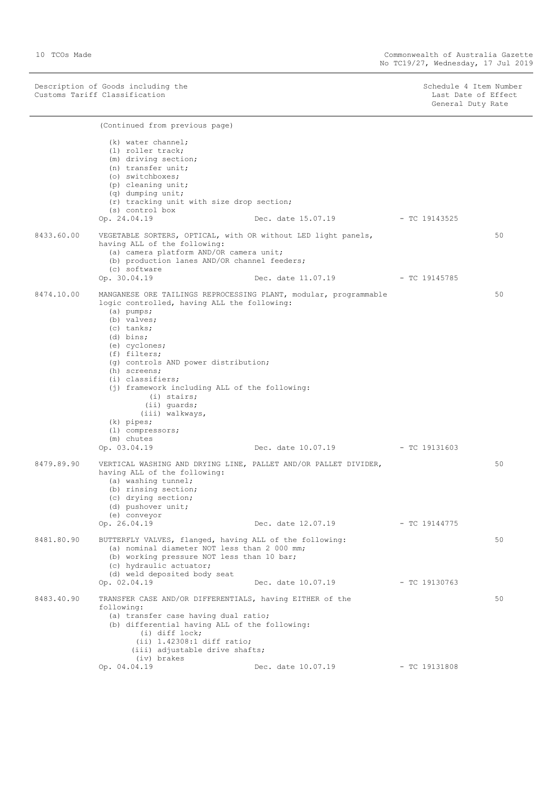Description of Goods including the Schedule 4 Item Number (Schedule 4 Item Number Customs Tariff Classification Last Date of Effect

(Continued from previous page)

Schedule 4 Item Number<br>Last Date of Effect<br>General Duty Rate

|            | (k) water channel;<br>(1) roller track;<br>(m) driving section;<br>(n) transfer unit;<br>(o) switchboxes;<br>(p) cleaning unit;<br>(q) dumping unit;<br>(r) tracking unit with size drop section;<br>(s) control box<br>Op. 24.04.19                                                                                                                                                                                                                             | Dec. date 15.07.19 - TC 19143525 |                 |    |
|------------|------------------------------------------------------------------------------------------------------------------------------------------------------------------------------------------------------------------------------------------------------------------------------------------------------------------------------------------------------------------------------------------------------------------------------------------------------------------|----------------------------------|-----------------|----|
| 8433.60.00 | VEGETABLE SORTERS, OPTICAL, with OR without LED light panels,<br>having ALL of the following:<br>(a) camera platform AND/OR camera unit;<br>(b) production lanes AND/OR channel feeders;<br>(c) software                                                                                                                                                                                                                                                         |                                  |                 | 50 |
|            | Op. 30.04.19                                                                                                                                                                                                                                                                                                                                                                                                                                                     | Dec. date 11.07.19               | - TC 19145785   |    |
| 8474.10.00 | MANGANESE ORE TAILINGS REPROCESSING PLANT, modular, programmable<br>logic controlled, having ALL the following:<br>$(a)$ pumps;<br>(b) valves;<br>$(c)$ tanks;<br>$(d)$ bins;<br>(e) cyclones;<br>(f) filters;<br>(q) controls AND power distribution;<br>(h) screens;<br>(i) classifiers;<br>(j) framework including ALL of the following:<br>(i) stairs;<br>$(i)$ quards;<br>(iii) walkways,<br>$(k)$ pipes;<br>(1) compressors;<br>(m) chutes<br>Op. 03.04.19 |                                  |                 | 50 |
| 8479.89.90 | VERTICAL WASHING AND DRYING LINE, PALLET AND/OR PALLET DIVIDER,<br>having ALL of the following:<br>(a) washing tunnel;<br>(b) rinsing section;<br>(c) drying section;<br>(d) pushover unit;<br>(e) conveyor<br>Op. 26.04.19                                                                                                                                                                                                                                      | Dec. date 12.07.19               | $-$ TC 19144775 | 50 |
| 8481.80.90 | BUTTERFLY VALVES, flanged, having ALL of the following:<br>(a) nominal diameter NOT less than 2 000 mm;<br>(b) working pressure NOT less than 10 bar;<br>(c) hydraulic actuator;<br>(d) weld deposited body seat                                                                                                                                                                                                                                                 |                                  |                 | 50 |
|            | Op. 02.04.19                                                                                                                                                                                                                                                                                                                                                                                                                                                     | Dec. date 10.07.19               | $-$ TC 19130763 |    |
| 8483.40.90 | TRANSFER CASE AND/OR DIFFERENTIALS, having EITHER of the<br>following:<br>(a) transfer case having dual ratio;<br>(b) differential having ALL of the following:<br>$(i)$ diff lock;<br>$(ii) 1.42308:1$ diff ratio;<br>(iii) adjustable drive shafts;<br>(iv) brakes<br>Op. 04.04.19                                                                                                                                                                             | Dec. date 10.07.19               | $-$ TC 19131808 | 50 |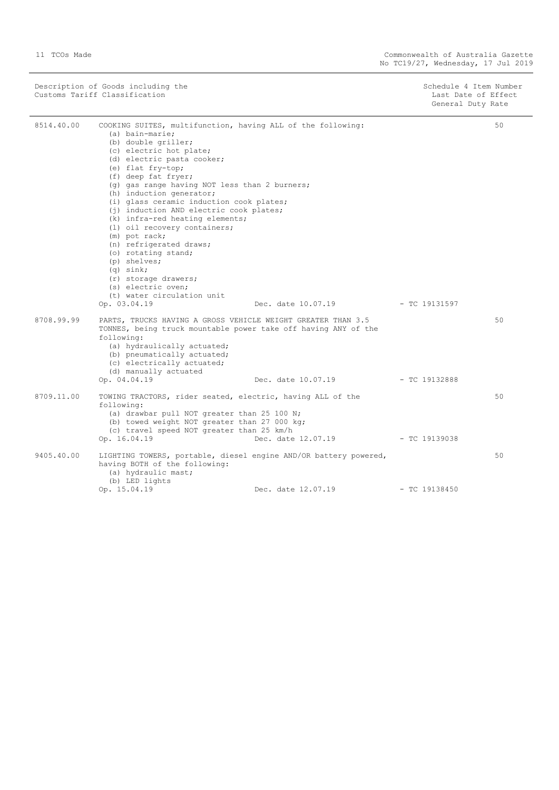Description of Goods including the Schedule 4 Item Number (Schedule 4 Item Number Customs Tariff Classification Last Date of Effect

Schedule 4 Item Number<br>Last Date of Effect<br>General Duty Rate

| 8514.40.00 | COOKING SUITES, multifunction, having ALL of the following:<br>(a) bain-marie;<br>(b) double griller;<br>(c) electric hot plate;<br>(d) electric pasta cooker;<br>(e) flat fry-top;<br>(f) deep fat fryer;<br>(g) gas range having NOT less than 2 burners;<br>(h) induction generator;<br>(i) glass ceramic induction cook plates;<br>(j) induction AND electric cook plates;<br>(k) infra-red heating elements;<br>(1) oil recovery containers;<br>(m) pot rack;<br>(n) refrigerated draws;<br>(o) rotating stand;<br>(p) shelves;<br>$(q)$ sink;<br>(r) storage drawers;<br>(s) electric oven;<br>(t) water circulation unit |                                                            |                 | 50 |
|------------|---------------------------------------------------------------------------------------------------------------------------------------------------------------------------------------------------------------------------------------------------------------------------------------------------------------------------------------------------------------------------------------------------------------------------------------------------------------------------------------------------------------------------------------------------------------------------------------------------------------------------------|------------------------------------------------------------|-----------------|----|
| 8708.99.99 | Op. 03.04.19<br>PARTS, TRUCKS HAVING A GROSS VEHICLE WEIGHT GREATER THAN 3.5<br>TONNES, being truck mountable power take off having ANY of the<br>following:<br>(a) hydraulically actuated;<br>(b) pneumatically actuated;<br>(c) electrically actuated;<br>(d) manually actuated<br>Op. 04.04.19                                                                                                                                                                                                                                                                                                                               | $Dec.$ date $10.07.19$ - TC 19131597<br>Dec. date 10.07.19 | - TC 19132888   | 50 |
| 8709.11.00 | TOWING TRACTORS, rider seated, electric, having ALL of the<br>following:<br>(a) drawbar pull NOT greater than 25 100 N;<br>(b) towed weight NOT greater than 27 000 kg;<br>(c) travel speed NOT greater than 25 km/h<br>Op. 16.04.19                                                                                                                                                                                                                                                                                                                                                                                            | Dec. date 12.07.19 - TC 19139038                           |                 | 50 |
| 9405.40.00 | LIGHTING TOWERS, portable, diesel engine AND/OR battery powered,<br>having BOTH of the following:<br>(a) hydraulic mast;<br>(b) LED lights<br>Op. 15.04.19                                                                                                                                                                                                                                                                                                                                                                                                                                                                      | Dec. date 12.07.19                                         | $-$ TC 19138450 | 50 |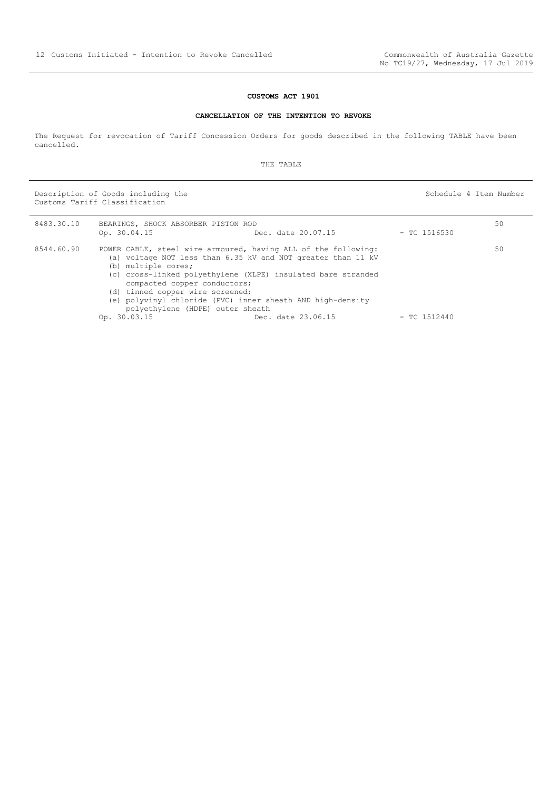#### **CUSTOMS ACT 1901**

#### **CANCELLATION OF THE INTENTION TO REVOKE**

<span id="page-11-0"></span>The Request for revocation of Tariff Concession Orders for goods described in the following TABLE have been cancelled.

THE TABLE

Description of Goods including the Schedule 4 Item Number Customs Tariff Classification

8483.30.10 BEARINGS, SHOCK ABSORBER PISTON ROD<br>D D Dec. date 20.07.15 - TC 1516530 50 8544.60.90 POWER CABLE, steel wire armoured, having ALL of the following: (a) voltage NOT less than 6.35 kV and NOT greater than 11 kV (b) multiple cores; (c) cross-linked polyethylene (XLPE) insulated bare stranded compacted copper conductors; (d) tinned copper wire screened; (e) polyvinyl chloride (PVC) inner sheath AND high-density polyethylene (HDPE) outer sheath Op. 30.03.15 Dec. date 23.06.15 - TC 1512440  $50$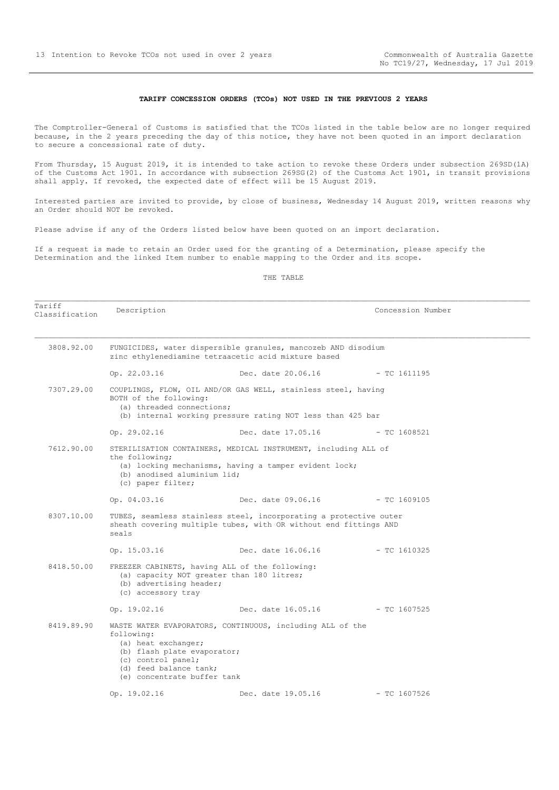#### **TARIFF CONCESSION ORDERS (TCOs) NOT USED IN THE PREVIOUS 2 YEARS**

<span id="page-12-0"></span>The Comptroller-General of Customs is satisfied that the TCOs listed in the table below are no longer required because, in the 2 years preceding the day of this notice, they have not been quoted in an import declaration to secure a concessional rate of duty.

From Thursday, 15 August 2019, it is intended to take action to revoke these Orders under subsection 269SD(1A) of the Customs Act 1901. In accordance with subsection 269SG(2) of the Customs Act 1901, in transit provisions shall apply. If revoked, the expected date of effect will be 15 August 2019.

Interested parties are invited to provide, by close of business, Wednesday 14 August 2019, written reasons why an Order should NOT be revoked.

Please advise if any of the Orders listed below have been quoted on an import declaration.

If a request is made to retain an Order used for the granting of a Determination, please specify the Determination and the linked Item number to enable mapping to the Order and its scope.

#### THE TABLE

Tariff ndiiii and Description Description and Description Description Concession Number 3808.92.00 FUNGICIDES, water dispersible granules, mancozeb AND disodium zinc ethylenediamine tetraacetic acid mixture based Op. 22.03.16 Dec. date 20.06.16 - TC 1611195 7307.29.00 COUPLINGS, FLOW, OIL AND/OR GAS WELL, stainless steel, having BOTH of the following: (a) threaded connections; (b) internal working pressure rating NOT less than 425 bar Op. 29.02.16 Dec. date 17.05.16 - TC 1608521 7612.90.00 STERILISATION CONTAINERS, MEDICAL INSTRUMENT, including ALL of the following; (a) locking mechanisms, having a tamper evident lock; (b) anodised aluminium lid; (c) paper filter; Op. 04.03.16 Dec. date 09.06.16 - TC 1609105 8307.10.00 TUBES, seamless stainless steel, incorporating a protective outer sheath covering multiple tubes, with OR without end fittings AND seals Op. 15.03.16 Dec. date 16.06.16 - TC 1610325 8418.50.00 FREEZER CABINETS, having ALL of the following: (a) capacity NOT greater than 180 litres; (b) advertising header; (c) accessory tray Op. 19.02.16 Dec. date 16.05.16 - TC 1607525 8419.89.90 WASTE WATER EVAPORATORS, CONTINUOUS, including ALL of the following: (a) heat exchanger; (b) flash plate evaporator; (c) control panel; (d) feed balance tank; (e) concentrate buffer tank Op. 19.02.16 Dec. date 19.05.16 - TC 1607526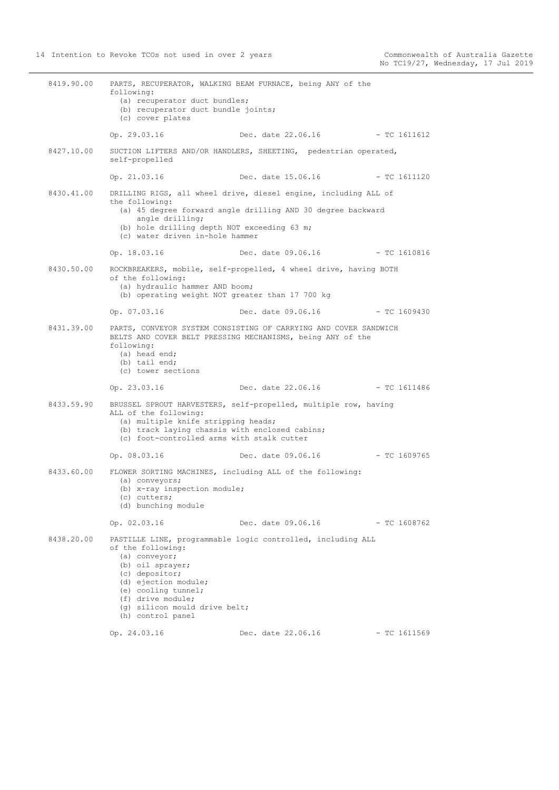8419.90.00 PARTS, RECUPERATOR, WALKING BEAM FURNACE, being ANY of the following: (a) recuperator duct bundles; (b) recuperator duct bundle joints; (c) cover plates Op. 29.03.16 Dec. date 22.06.16 - TC 1611612 8427.10.00 SUCTION LIFTERS AND/OR HANDLERS, SHEETING, pedestrian operated, self-propelled Op. 21.03.16 Dec. date 15.06.16 - TC 1611120 8430.41.00 DRILLING RIGS, all wheel drive, diesel engine, including ALL of the following: (a) 45 degree forward angle drilling AND 30 degree backward angle drilling; (b) hole drilling depth NOT exceeding 63 m; (c) water driven in-hole hammer Op. 18.03.16 Dec. date 09.06.16 - TC 1610816 8430.50.00 ROCKBREAKERS, mobile, self-propelled, 4 wheel drive, having BOTH of the following: (a) hydraulic hammer AND boom; (b) operating weight NOT greater than 17 700 kg Op. 07.03.16 Dec. date 09.06.16 - TC 1609430 8431.39.00 PARTS, CONVEYOR SYSTEM CONSISTING OF CARRYING AND COVER SANDWICH BELTS AND COVER BELT PRESSING MECHANISMS, being ANY of the following: (a) head end; (b) tail end; (c) tower sections Op. 23.03.16 Dec. date 22.06.16 - TC 1611486 8433.59.90 BRUSSEL SPROUT HARVESTERS, self-propelled, multiple row, having ALL of the following: (a) multiple knife stripping heads; (b) track laying chassis with enclosed cabins; (c) foot-controlled arms with stalk cutter Op. 08.03.16 Dec. date 09.06.16 - TC 1609765 8433.60.00 FLOWER SORTING MACHINES, including ALL of the following: (a) conveyors; (b) x-ray inspection module; (c) cutters; (d) bunching module Op. 02.03.16 Dec. date 09.06.16 - TC 1608762 8438.20.00 PASTILLE LINE, programmable logic controlled, including ALL of the following: (a) conveyor; (b) oil sprayer; (c) depositor; (d) ejection module; (e) cooling tunnel; (f) drive module; (g) silicon mould drive belt; (h) control panel Op. 24.03.16 Dec. date 22.06.16 - TC 1611569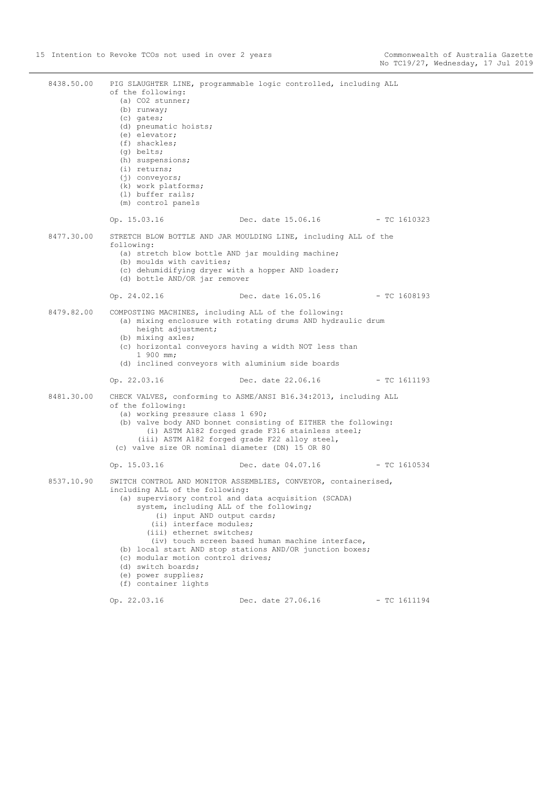8438.50.00 PIG SLAUGHTER LINE, programmable logic controlled, including ALL of the following: (a) CO2 stunner; (b) runway; (c) gates; (d) pneumatic hoists; (e) elevator; (f) shackles; (g) belts; (h) suspensions; (i) returns; (i) conveyors; (k) work platforms; (l) buffer rails; (m) control panels Op. 15.03.16 Dec. date 15.06.16 - TC 1610323 8477.30.00 STRETCH BLOW BOTTLE AND JAR MOULDING LINE, including ALL of the following: (a) stretch blow bottle AND jar moulding machine; (b) moulds with cavities; (c) dehumidifying dryer with a hopper AND loader; (d) bottle AND/OR jar remover Op. 24.02.16 Dec. date 16.05.16 - TC 1608193 8479.82.00 COMPOSTING MACHINES, including ALL of the following: (a) mixing enclosure with rotating drums AND hydraulic drum height adjustment; (b) mixing axles; (c) horizontal conveyors having a width NOT less than 1 900 mm; (d) inclined conveyors with aluminium side boards Op. 22.03.16 Dec. date 22.06.16 - TC 1611193 8481.30.00 CHECK VALVES, conforming to ASME/ANSI B16.34:2013, including ALL of the following: (a) working pressure class 1 690; (b) valve body AND bonnet consisting of EITHER the following: (i) ASTM A182 forged grade F316 stainless steel; (iii) ASTM A182 forged grade F22 alloy steel, (c) valve size OR nominal diameter (DN) 15 OR 80 Op. 15.03.16 Dec. date 04.07.16 - TC 1610534 8537.10.90 SWITCH CONTROL AND MONITOR ASSEMBLIES, CONVEYOR, containerised, including ALL of the following: (a) supervisory control and data acquisition (SCADA) system, including ALL of the following; (i) input AND output cards; (ii) interface modules; (iii) ethernet switches; (iv) touch screen based human machine interface, (b) local start AND stop stations AND/OR junction boxes; (c) modular motion control drives; (d) switch boards; (e) power supplies; (f) container lights Op. 22.03.16 Dec. date 27.06.16 - TC 1611194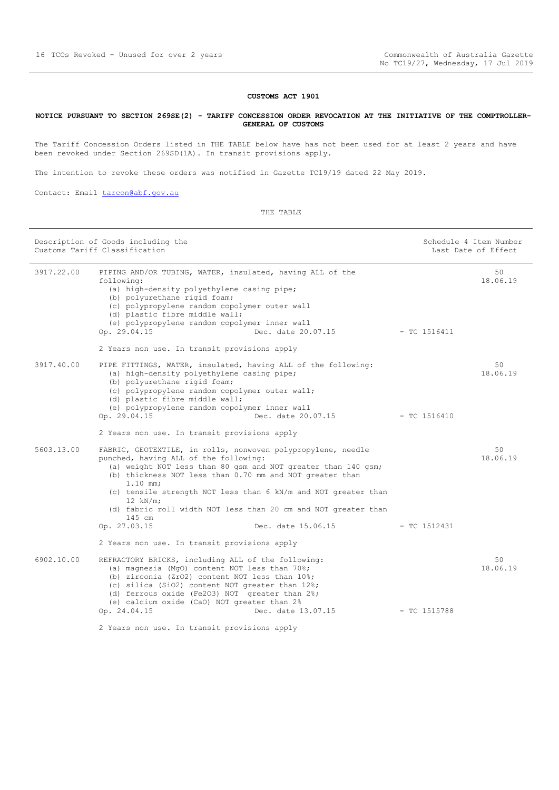#### **CUSTOMS ACT 1901**

#### <span id="page-15-0"></span>**NOTICE PURSUANT TO SECTION 269SE(2) - TARIFF CONCESSION ORDER REVOCATION AT THE INITIATIVE OF THE COMPTROLLER-GENERAL OF CUSTOMS**

The Tariff Concession Orders listed in THE TABLE below have has not been used for at least 2 years and have been revoked under Section 269SD(1A). In transit provisions apply.

The intention to revoke these orders was notified in Gazette TC19/19 dated 22 May 2019.

Contact: Email [tarcon@abf.gov.au](mailto:tarcon@abf.gov.au)

| Description of Goods including the<br>Customs Tariff Classification |                                                                                                                                                                                                                                                                                                                                                                                                                                                                                                    |                | Schedule 4 Item Number<br>Last Date of Effect |
|---------------------------------------------------------------------|----------------------------------------------------------------------------------------------------------------------------------------------------------------------------------------------------------------------------------------------------------------------------------------------------------------------------------------------------------------------------------------------------------------------------------------------------------------------------------------------------|----------------|-----------------------------------------------|
| 3917.22.00                                                          | PIPING AND/OR TUBING, WATER, insulated, having ALL of the<br>following:<br>(a) high-density polyethylene casing pipe;<br>(b) polyurethane rigid foam;<br>(c) polypropylene random copolymer outer wall<br>(d) plastic fibre middle wall;<br>(e) polypropylene random copolymer inner wall<br>Op. 29.04.15<br>Dec. date 20.07.15 - TC 1516411<br>2 Years non use. In transit provisions apply                                                                                                       |                | 50<br>18.06.19                                |
| 3917.40.00                                                          | PIPE FITTINGS, WATER, insulated, having ALL of the following:<br>(a) high-density polyethylene casing pipe;<br>(b) polyurethane rigid foam;<br>(c) polypropylene random copolymer outer wall;<br>(d) plastic fibre middle wall;<br>(e) polypropylene random copolymer inner wall<br>Op. 29.04.15<br>Dec. date 20.07.15<br>2 Years non use. In transit provisions apply                                                                                                                             | - TC 1516410   | 50<br>18.06.19                                |
| 5603.13.00                                                          | FABRIC, GEOTEXTILE, in rolls, nonwoven polypropylene, needle<br>punched, having ALL of the following:<br>(a) weight NOT less than 80 gsm and NOT greater than 140 gsm;<br>(b) thickness NOT less than 0.70 mm and NOT greater than<br>$1.10$ mm;<br>(c) tensile strength NOT less than 6 kN/m and NOT greater than<br>$12$ kN/m;<br>(d) fabric roll width NOT less than 20 cm and NOT greater than<br>145 cm<br>Op. 27.03.15<br>Dec. date 15.06.15<br>2 Years non use. In transit provisions apply | $-$ TC 1512431 | 50<br>18.06.19                                |
| 6902.10.00                                                          | REFRACTORY BRICKS, including ALL of the following:<br>(a) magnesia (MgO) content NOT less than 70%;<br>(b) zirconia (ZrO2) content NOT less than 10%;<br>(c) silica (SiO2) content NOT greater than 12%;<br>(d) ferrous oxide (Fe2O3) NOT greater than 2%;<br>(e) calcium oxide (CaO) NOT greater than 2%<br>Op. 24.04.15<br>Dec. date 13.07.15<br>2 Years non use. In transit provisions apply                                                                                                    | $-$ TC 1515788 | 50<br>18.06.19                                |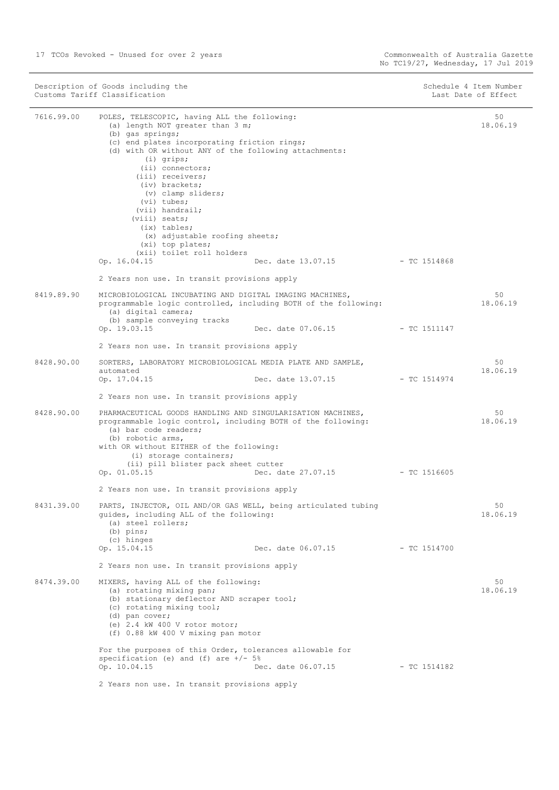| Description of Goods including the | Schedule 4 Item Number |
|------------------------------------|------------------------|
| Customs Tariff Classification      | Last Date of Effect    |

| 7616.99.00 | POLES, TELESCOPIC, having ALL the following:<br>(a) length NOT greater than 3 m;                                                                     |                                 |                | 50<br>18.06.19 |
|------------|------------------------------------------------------------------------------------------------------------------------------------------------------|---------------------------------|----------------|----------------|
|            | (b) gas springs;<br>(c) end plates incorporating friction rings;                                                                                     |                                 |                |                |
|            | (d) with OR without ANY of the following attachments:                                                                                                |                                 |                |                |
|            | $(i)$ grips;<br>$(i)$ connectors;                                                                                                                    |                                 |                |                |
|            | (iii) receivers;                                                                                                                                     |                                 |                |                |
|            | (iv) brackets;                                                                                                                                       |                                 |                |                |
|            | (v) clamp sliders;<br>$(vi)$ tubes;                                                                                                                  |                                 |                |                |
|            | (vii) handrail;                                                                                                                                      |                                 |                |                |
|            | (viii) seats;<br>$(ix)$ tables;                                                                                                                      |                                 |                |                |
|            | (x) adjustable roofing sheets;                                                                                                                       |                                 |                |                |
|            | (xi) top plates;<br>(xii) toilet roll holders                                                                                                        |                                 |                |                |
|            | Op. 16.04.15                                                                                                                                         | Dec. date 13.07.15 - TC 1514868 |                |                |
|            | 2 Years non use. In transit provisions apply                                                                                                         |                                 |                |                |
| 8419.89.90 | MICROBIOLOGICAL INCUBATING AND DIGITAL IMAGING MACHINES,                                                                                             |                                 |                | 50             |
|            | programmable logic controlled, including BOTH of the following:<br>(a) digital camera;                                                               |                                 |                | 18.06.19       |
|            | (b) sample conveying tracks<br>Op. 19.03.15                                                                                                          |                                 |                |                |
|            | 2 Years non use. In transit provisions apply                                                                                                         |                                 |                |                |
| 8428.90.00 | SORTERS, LABORATORY MICROBIOLOGICAL MEDIA PLATE AND SAMPLE,                                                                                          |                                 |                | 50             |
|            | automated<br>Op. 17.04.15                                                                                                                            | Dec. date 13.07.15              | $-$ TC 1514974 | 18.06.19       |
|            | 2 Years non use. In transit provisions apply                                                                                                         |                                 |                |                |
|            |                                                                                                                                                      |                                 |                |                |
| 8428.90.00 | PHARMACEUTICAL GOODS HANDLING AND SINGULARISATION MACHINES,<br>programmable logic control, including BOTH of the following:<br>(a) bar code readers; |                                 |                | 50<br>18.06.19 |
|            | (b) robotic arms,<br>with OR without EITHER of the following:<br>(i) storage containers;                                                             |                                 |                |                |
|            | (ii) pill blister pack sheet cutter                                                                                                                  |                                 |                |                |
|            | Op. 01.05.15                                                                                                                                         | Dec. date 27.07.15 - TC 1516605 |                |                |
|            | 2 Years non use. In transit provisions apply                                                                                                         |                                 |                |                |
| 8431.39.00 | PARTS, INJECTOR, OIL AND/OR GAS WELL, being articulated tubing<br>quides, including ALL of the following:<br>(a) steel rollers;<br>$(b)$ pins;       |                                 |                | 50<br>18.06.19 |
|            | (c) hinges<br>Op. 15.04.15                                                                                                                           | Dec. date 06.07.15              | $-$ TC 1514700 |                |
|            | 2 Years non use. In transit provisions apply                                                                                                         |                                 |                |                |
| 8474.39.00 | MIXERS, having ALL of the following:<br>(a) rotating mixing pan;<br>(b) stationary deflector AND scraper tool;                                       |                                 |                | 50<br>18.06.19 |
|            | (c) rotating mixing tool;<br>(d) pan cover;<br>(e) $2.4$ kW $400$ V rotor motor;<br>(f) 0.88 kW 400 V mixing pan motor                               |                                 |                |                |
|            | For the purposes of this Order, tolerances allowable for                                                                                             |                                 |                |                |
|            | specification (e) and $(f)$ are $+/-$ 5%<br>Op. 10.04.15                                                                                             | Dec. date 06.07.15              | $-$ TC 1514182 |                |
|            | 2 Years non use. In transit provisions apply                                                                                                         |                                 |                |                |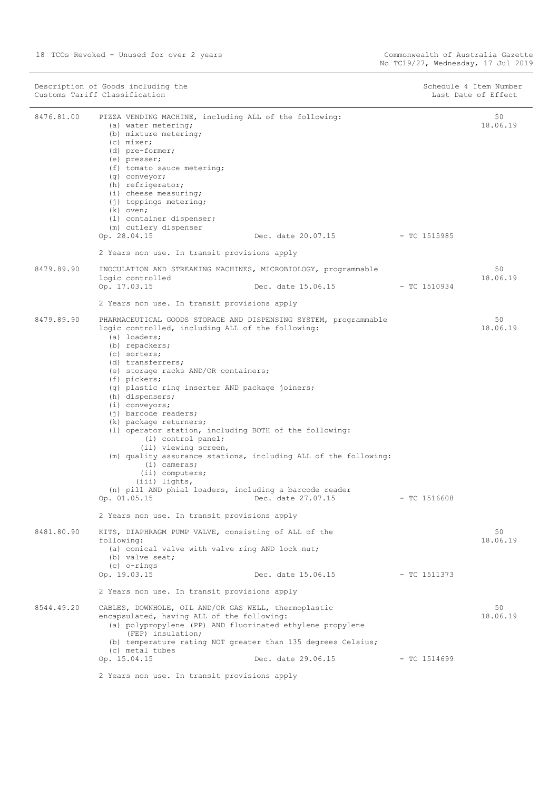| Description of Goods including the<br>Customs Tariff Classification |                                                                                                                                                                                                                                                                                                                                                                                                                                                                                                                                                                                                                                                                                                                                                               |                    |                | Schedule 4 Item Number<br>Last Date of Effect |  |
|---------------------------------------------------------------------|---------------------------------------------------------------------------------------------------------------------------------------------------------------------------------------------------------------------------------------------------------------------------------------------------------------------------------------------------------------------------------------------------------------------------------------------------------------------------------------------------------------------------------------------------------------------------------------------------------------------------------------------------------------------------------------------------------------------------------------------------------------|--------------------|----------------|-----------------------------------------------|--|
| 8476.81.00                                                          | PIZZA VENDING MACHINE, including ALL of the following:<br>(a) water metering;<br>(b) mixture metering;<br>(c) mixer;<br>(d) pre-former;<br>(e) presser;<br>(f) tomato sauce metering;<br>(q) conveyor;<br>(h) refrigerator;<br>$(i)$ cheese measuring;<br>(j) toppings metering;<br>$(k)$ oven;<br>(1) container dispenser;<br>(m) cutlery dispenser<br>Op. 28.04.15<br>2 Years non use. In transit provisions apply                                                                                                                                                                                                                                                                                                                                          | Dec. date 20.07.15 | - TC 1515985   | 50<br>18.06.19                                |  |
| 8479.89.90                                                          | INOCULATION AND STREAKING MACHINES, MICROBIOLOGY, programmable<br>logic controlled<br>Op. 17.03.15                                                                                                                                                                                                                                                                                                                                                                                                                                                                                                                                                                                                                                                            | Dec. date 15.06.15 | $-TC1510934$   | 50<br>18.06.19                                |  |
|                                                                     | 2 Years non use. In transit provisions apply                                                                                                                                                                                                                                                                                                                                                                                                                                                                                                                                                                                                                                                                                                                  |                    |                |                                               |  |
| 8479.89.90                                                          | PHARMACEUTICAL GOODS STORAGE AND DISPENSING SYSTEM, programmable<br>logic controlled, including ALL of the following:<br>(a) loaders;<br>(b) repackers;<br>(c) sorters;<br>(d) transferrers;<br>(e) storage racks AND/OR containers;<br>(f) pickers;<br>(g) plastic ring inserter AND package joiners;<br>(h) dispensers;<br>$(i)$ conveyors;<br>$(j)$ barcode readers;<br>(k) package returners;<br>(1) operator station, including BOTH of the following:<br>(i) control panel;<br>(ii) viewing screen,<br>(m) quality assurance stations, including ALL of the following:<br>$(i)$ cameras;<br>$(i)$ computers;<br>(iii) lights,<br>(n) pill AND phial loaders, including a barcode reader<br>Op. 01.05.15<br>2 Years non use. In transit provisions apply | Dec. date 27.07.15 | $-$ TC 1516608 | 50<br>18.06.19                                |  |
| 8481.80.90                                                          | KITS, DIAPHRAGM PUMP VALVE, consisting of ALL of the<br>following:<br>(a) conical valve with valve ring AND lock nut;<br>(b) valve seat;<br>$(c)$ o-rings                                                                                                                                                                                                                                                                                                                                                                                                                                                                                                                                                                                                     |                    |                | 50<br>18.06.19                                |  |
|                                                                     | Op. 19.03.15                                                                                                                                                                                                                                                                                                                                                                                                                                                                                                                                                                                                                                                                                                                                                  | Dec. date 15.06.15 | - TC 1511373   |                                               |  |
|                                                                     | 2 Years non use. In transit provisions apply                                                                                                                                                                                                                                                                                                                                                                                                                                                                                                                                                                                                                                                                                                                  |                    |                |                                               |  |
| 8544.49.20                                                          | CABLES, DOWNHOLE, OIL AND/OR GAS WELL, thermoplastic<br>encapsulated, having ALL of the following:<br>(a) polypropylene (PP) AND fluorinated ethylene propylene<br>(FEP) insulation;<br>(b) temperature rating NOT greater than 135 degrees Celsius;<br>(c) metal tubes                                                                                                                                                                                                                                                                                                                                                                                                                                                                                       |                    |                | 50<br>18.06.19                                |  |
|                                                                     | Op. 15.04.15                                                                                                                                                                                                                                                                                                                                                                                                                                                                                                                                                                                                                                                                                                                                                  | Dec. date 29.06.15 | $-$ TC 1514699 |                                               |  |
|                                                                     | 2 Years non use. In transit provisions apply                                                                                                                                                                                                                                                                                                                                                                                                                                                                                                                                                                                                                                                                                                                  |                    |                |                                               |  |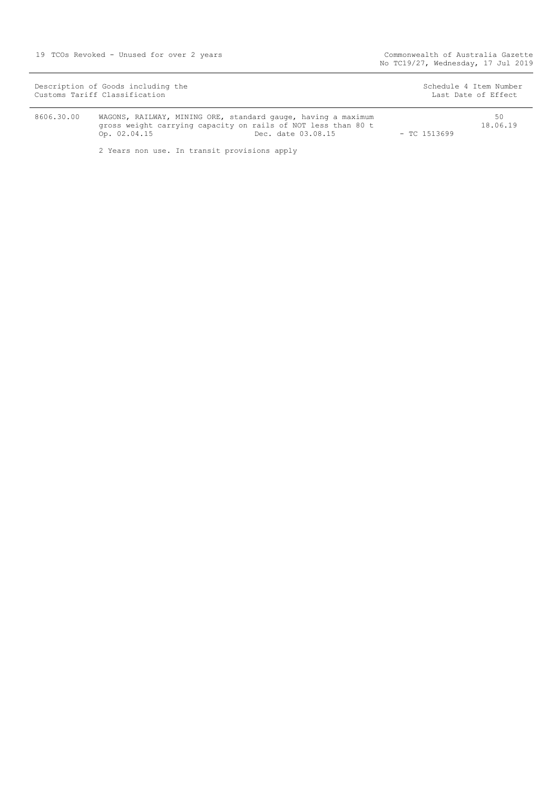| Description of Goods including the                                                                                                           | Schedule 4 Item Number |
|----------------------------------------------------------------------------------------------------------------------------------------------|------------------------|
| Customs Tariff Classification                                                                                                                | Last Date of Effect    |
| 8606.30.00<br>WAGONS, RAILWAY, MINING ORE, standard gauge, having a maximum<br>gross weight carrying capacity on rails of NOT less than 80 t | 50<br>18.06.19         |

Op. 02.04.15 Dec. date 03.08.15 - TC 1513699

2 Years non use. In transit provisions apply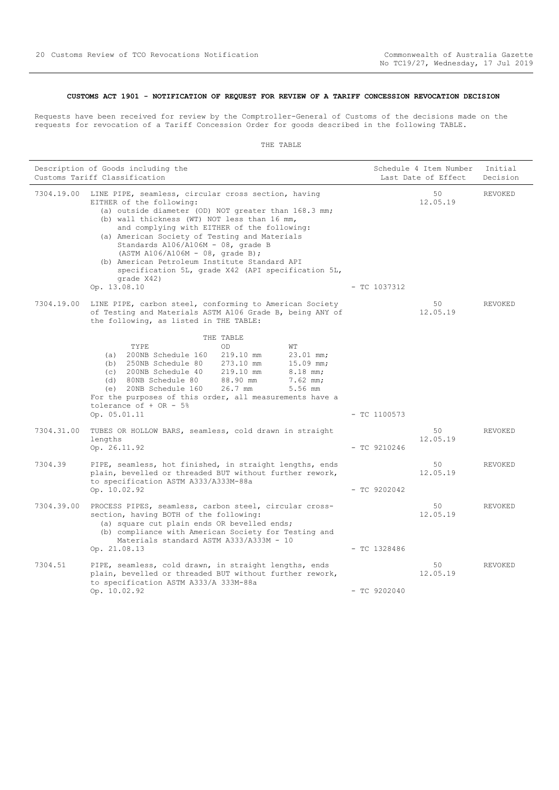#### <span id="page-19-0"></span>**CUSTOMS ACT 1901 - NOTIFICATION OF REQUEST FOR REVIEW OF A TARIFF CONCESSION REVOCATION DECISION**

Requests have been received for review by the Comptroller-General of Customs of the decisions made on the requests for revocation of a Tariff Concession Order for goods described in the following TABLE.

|            | Description of Goods including the<br>Customs Tariff Classification                                                                                                                                                                                                                                                                                                                                                                                                                                         | Schedule 4 Item Number<br>Last Date of Effect |                | Initial<br>Decision |
|------------|-------------------------------------------------------------------------------------------------------------------------------------------------------------------------------------------------------------------------------------------------------------------------------------------------------------------------------------------------------------------------------------------------------------------------------------------------------------------------------------------------------------|-----------------------------------------------|----------------|---------------------|
| 7304.19.00 | LINE PIPE, seamless, circular cross section, having<br>EITHER of the following:<br>(a) outside diameter (OD) NOT greater than 168.3 mm;<br>(b) wall thickness (WT) NOT less than 16 mm,<br>and complying with EITHER of the following:<br>(a) American Society of Testing and Materials<br>Standards $A106/A106M - 08$ , grade B<br>$(ASTM A106/A106M - 08, grade B);$<br>(b) American Petroleum Institute Standard API<br>specification 5L, grade X42 (API specification 5L,<br>grade X42)<br>Op. 13.08.10 | $-$ TC 1037312                                | 50<br>12.05.19 | REVOKED             |
| 7304.19.00 | LINE PIPE, carbon steel, conforming to American Society<br>of Testing and Materials ASTM A106 Grade B, being ANY of<br>the following, as listed in THE TABLE:                                                                                                                                                                                                                                                                                                                                               |                                               | 50<br>12.05.19 | REVOKED             |
|            | THE TABLE<br>TYPE<br>OD<br>WΤ<br>(a) 200NB Schedule 160<br>219.10 mm<br>$23.01$ mm;<br>$(b)$ 250NB Schedule 80<br>273.10 mm<br>$15.09$ mm;<br>(c) 200NB Schedule 40<br>219.10 mm<br>$8.18$ mm;<br>88.90 mm<br>(d) 80NB Schedule 80<br>$7.62$ mm;<br>$26.7$ mm<br>(e) 20NB Schedule 160<br>5.56 mm<br>For the purposes of this order, all measurements have a<br>tolerance of $+$ OR - 5%<br>Op. 05.01.11                                                                                                    | $-$ TC 1100573                                |                |                     |
| 7304.31.00 | TUBES OR HOLLOW BARS, seamless, cold drawn in straight<br>lengths<br>Op. 26.11.92                                                                                                                                                                                                                                                                                                                                                                                                                           | $-$ TC 9210246                                | 50<br>12.05.19 | REVOKED             |
| 7304.39    | PIPE, seamless, hot finished, in straight lengths, ends<br>plain, bevelled or threaded BUT without further rework,<br>to specification ASTM A333/A333M-88a<br>Op. 10.02.92                                                                                                                                                                                                                                                                                                                                  | $-$ TC 9202042                                | 50<br>12.05.19 | REVOKED             |
| 7304.39.00 | PROCESS PIPES, seamless, carbon steel, circular cross-<br>section, having BOTH of the following:<br>(a) square cut plain ends OR bevelled ends;<br>(b) compliance with American Society for Testing and<br>Materials standard ASTM A333/A333M - 10<br>Op. 21.08.13                                                                                                                                                                                                                                          | $-$ TC 1328486                                | 50<br>12.05.19 | <b>REVOKED</b>      |
| 7304.51    | PIPE, seamless, cold drawn, in straight lengths, ends<br>plain, bevelled or threaded BUT without further rework,<br>to specification ASTM A333/A 333M-88a<br>Op. 10.02.92                                                                                                                                                                                                                                                                                                                                   | $-$ TC 9202040                                | 50<br>12.05.19 | REVOKED             |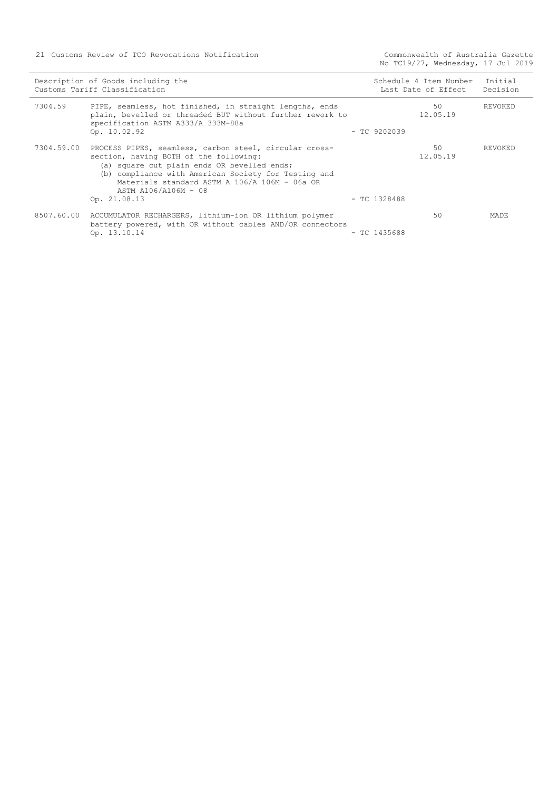21 Customs Review of TCO Revocations Notification

Commonwealth of Australia Gazette<br>No TC19/27, Wednesday, 17 Jul 2019

| Description of Goods including the<br>Customs Tariff Classification |                                                                                                                                                                                                                                                                                                  | Schedule 4 Item Number<br>Last Date of Effect |                | Initial<br>Decision |
|---------------------------------------------------------------------|--------------------------------------------------------------------------------------------------------------------------------------------------------------------------------------------------------------------------------------------------------------------------------------------------|-----------------------------------------------|----------------|---------------------|
| 7304.59                                                             | PIPE, seamless, hot finished, in straight lengths, ends<br>plain, bevelled or threaded BUT without further rework to<br>specification ASTM A333/A 333M-88a<br>Op. 10.02.92                                                                                                                       | $-$ TC 9202039                                | 50<br>12.05.19 | REVOKED             |
| 7304.59.00                                                          | PROCESS PIPES, seamless, carbon steel, circular cross-<br>section, having BOTH of the following:<br>(a) square cut plain ends OR bevelled ends;<br>(b) compliance with American Society for Testing and<br>Materials standard ASTM A 106/A 106M - 06a OR<br>ASTM A106/A106M - 08<br>Op. 21.08.13 | $-$ TC 1328488                                | 50<br>12.05.19 | REVOKED             |
|                                                                     | 8507.60.00 ACCUMULATOR RECHARGERS, lithium-ion OR lithium polymer<br>battery powered, with OR without cables AND/OR connectors<br>Op. 13.10.14                                                                                                                                                   | $-$ TC 1435688                                | 50             | <b>MADE</b>         |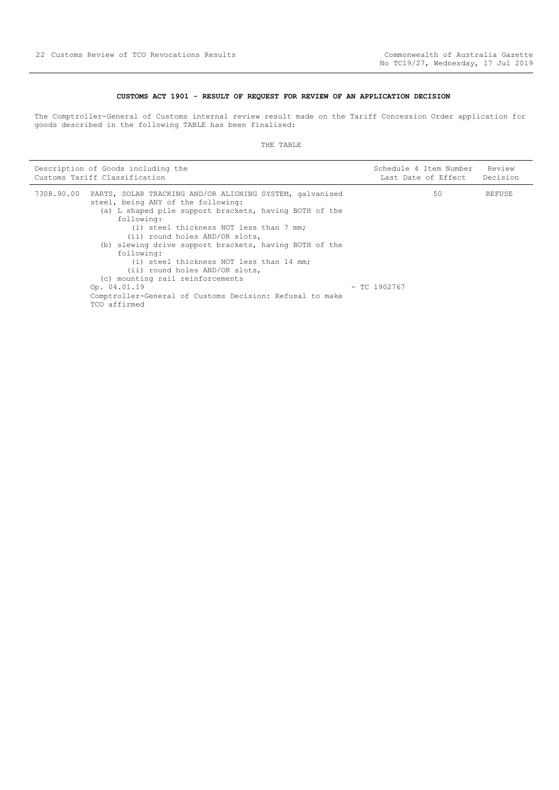#### **CUSTOMS ACT 1901 - RESULT OF REQUEST FOR REVIEW OF AN APPLICATION DECISION**

<span id="page-21-0"></span>The Comptroller-General of Customs internal review result made on the Tariff Concession Order application for goods described in the following TABLE has been finalised:

|            | Description of Goods including the                                                                                                                                                                                                                                                                                                                                                                                                                                                                                                        | Schedule 4 Item Number | Review   |
|------------|-------------------------------------------------------------------------------------------------------------------------------------------------------------------------------------------------------------------------------------------------------------------------------------------------------------------------------------------------------------------------------------------------------------------------------------------------------------------------------------------------------------------------------------------|------------------------|----------|
|            | Customs Tariff Classification                                                                                                                                                                                                                                                                                                                                                                                                                                                                                                             | Last Date of Effect    | Decision |
| 7308.90.00 | PARTS, SOLAR TRACKING AND/OR ALIGNING SYSTEM, galvanised<br>steel, being ANY of the following:<br>(a) L shaped pile support brackets, having BOTH of the<br>following:<br>(i) steel thickness NOT less than 7 mm;<br>(ii) round holes AND/OR slots,<br>(b) slewing drive support brackets, having BOTH of the<br>following:<br>(i) steel thickness NOT less than 14 mm;<br>(ii) round holes AND/OR slots,<br>(c) mounting rail reinforcements<br>Op. 04.01.19<br>Comptroller-General of Customs Decision: Refusal to make<br>TCO affirmed | 50<br>$-$ TC 1902767   | REFUSE   |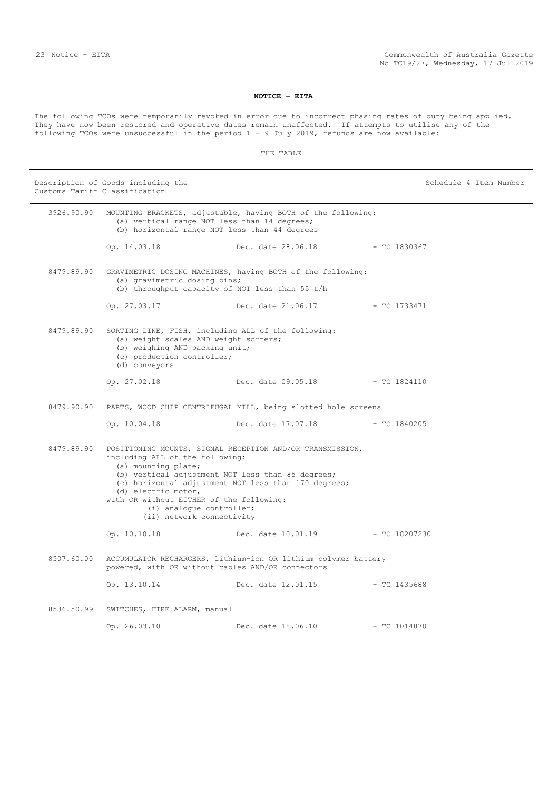#### **NOTICE – EITA**

<span id="page-22-0"></span>The following TCOs were temporarily revoked in error due to incorrect phasing rates of duty being applied. They have now been restored and operative dates remain unaffected. If attempts to utilise any of the following TCOs were unsuccessful in the period  $1 - 9$  July 2019, refunds are now available:

#### THE TABLE

Description of Goods including the Schedule 4 Item Number Customs Tariff Classification 3926.90.90 MOUNTING BRACKETS, adjustable, having BOTH of the following: (a) vertical range NOT less than 14 degrees; (b) horizontal range NOT less than 44 degrees Op. 14.03.18 Dec. date 28.06.18 - TC 1830367 8479.89.90 GRAVIMETRIC DOSING MACHINES, having BOTH of the following: (a) gravimetric dosing bins; (b) throughput capacity of NOT less than 55 t/h Op. 27.03.17 Dec. date 21.06.17 - TC 1733471 8479.89.90 SORTING LINE, FISH, including ALL of the following: (a) weight scales AND weight sorters; (b) weighing AND packing unit; (c) production controller; (d) conveyors Op. 27.02.18 Dec. date 09.05.18 - TC 1824110 8479.90.90 PARTS, WOOD CHIP CENTRIFUGAL MILL, being slotted hole screens Op. 10.04.18 Dec. date 17.07.18 - TC 1840205 8479.89.90 POSITIONING MOUNTS, SIGNAL RECEPTION AND/OR TRANSMISSION, including ALL of the following: (a) mounting plate; (b) vertical adjustment NOT less than 85 degrees; (c) horizontal adjustment NOT less than 170 degrees; (d) electric motor, with OR without EITHER of the following: (i) analogue controller; (ii) network connectivity Op. 10.10.18 Dec. date 10.01.19 - TC 18207230 8507.60.00 ACCUMULATOR RECHARGERS, lithium-ion OR lithium polymer battery powered, with OR without cables AND/OR connectors Op. 13.10.14 Dec. date 12.01.15 - TC 1435688 8536.50.99 SWITCHES, FIRE ALARM, manual Op. 26.03.10 Dec. date 18.06.10 - TC 1014870